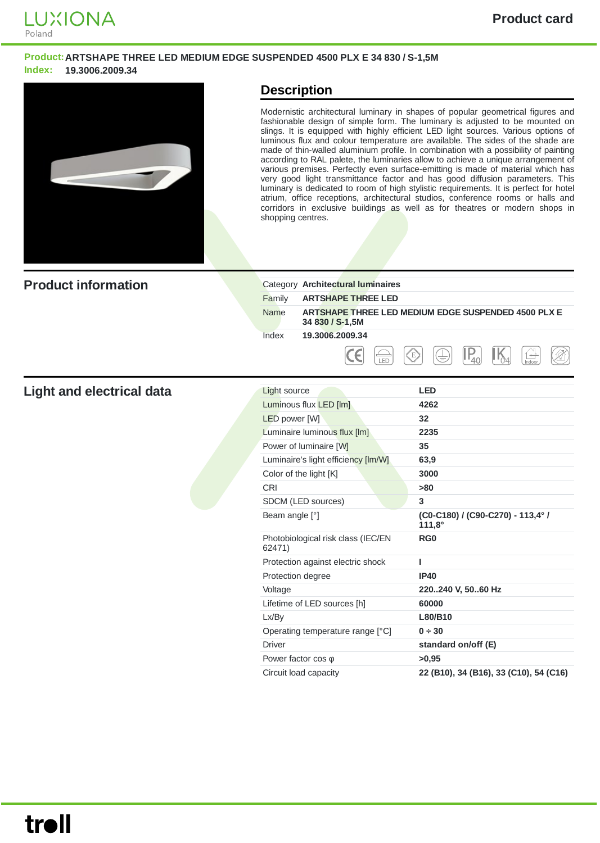

#### **Product:ARTSHAPE THREE LED MEDIUM EDGE SUSPENDED 4500 PLX E 34 830 / S-1,5M Index: 19.3006.2009.34**



### **Description**

Modernistic architectural luminary in shapes of popular geometrical figures and fashionable design of simple form. The luminary is adjusted to be mounted on slings. It is equipped with highly efficient LED light sources. Various options of luminous flux and colour temperature are available. The sides of the shade are made of thin-walled aluminium profile. In combination with a possibility of painting according to RAL palete, the luminaries allow to achieve a unique arrangement of various premises. Perfectly even surface-emitting is made of material which has very good light transmittance factor and has good diffusion parameters. This luminary is dedicated to room of high stylistic requirements. It is perfect for hotel atrium, office receptions, architectural studios, conference rooms or halls and corridors in exclusive buildings as well as for theatres or modern shops in shopping centres.

| <b>Product information</b> |             | Category Architectural luminaires                                      |
|----------------------------|-------------|------------------------------------------------------------------------|
|                            | Family      | <b>ARTSHAPE THREE LED</b>                                              |
|                            | <b>Name</b> | ARTSHAPE THREE LED MEDIUM EDGE SUSPENDED 4500 PLX E<br>34 830 / S-1,5M |
|                            | Index       | 19.3006.2009.34                                                        |
|                            |             | E)<br>-<br>$\overline{\phantom{a}}$<br>(士)<br>LED<br>Indoo             |

#### **Light** and electrical data

| Light source                                 | <b>LED</b>                                         |
|----------------------------------------------|----------------------------------------------------|
| Luminous flux LED [lm]                       | 4262                                               |
| <b>LED</b> power [W]                         | 32                                                 |
| Luminaire luminous flux [lm]                 | 2235                                               |
| Power of luminaire [W]                       | 35                                                 |
| Luminaire's light efficiency [Im/W]          | 63,9                                               |
| Color of the light [K]                       | 3000                                               |
| <b>CRI</b>                                   | >80                                                |
| SDCM (LED sources)                           | 3                                                  |
| Beam angle [°]                               | (C0-C180) / (C90-C270) - 113,4° /<br>$111,8^\circ$ |
| Photobiological risk class (IEC/EN<br>62471) | RG <sub>0</sub>                                    |
| Protection against electric shock            | ı                                                  |
| Protection degree                            | <b>IP40</b>                                        |
| Voltage                                      | 220240 V, 5060 Hz                                  |
| Lifetime of LED sources [h]                  | 60000                                              |
| Lx/By                                        | L80/B10                                            |
| Operating temperature range [°C]             | 0 ÷ 30                                             |
| <b>Driver</b>                                | standard on/off (E)                                |
| Power factor $cos \varphi$                   | >0,95                                              |
| Circuit load capacity                        | 22 (B10), 34 (B16), 33 (C10), 54 (C16)             |